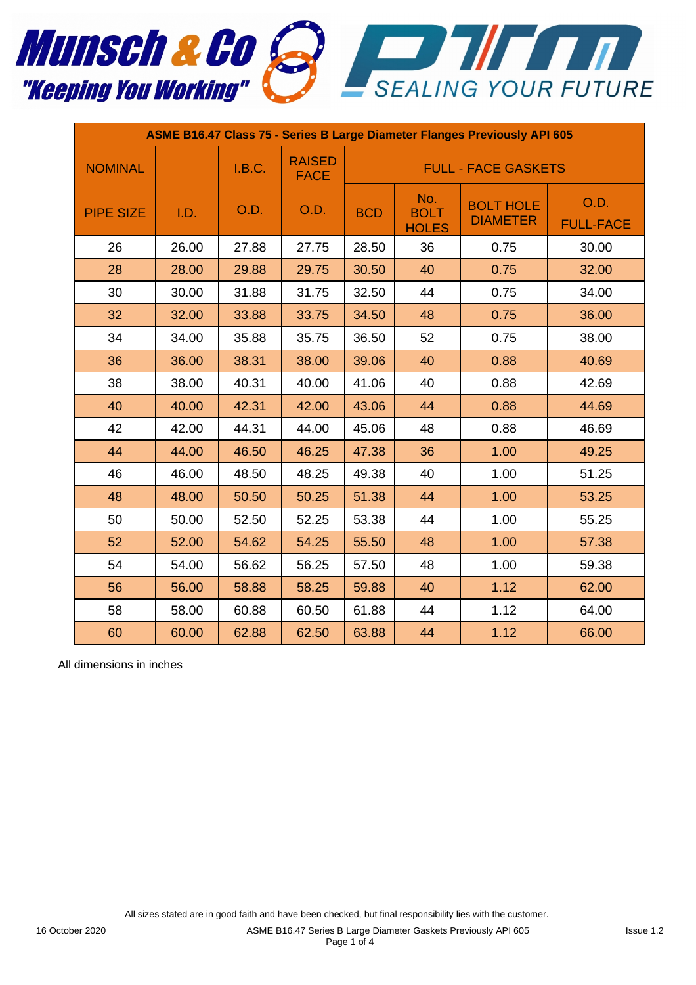

| ASME B16.47 Class 75 - Series B Large Diameter Flanges Previously API 605 |       |        |                              |                            |                                    |                                     |                          |  |  |
|---------------------------------------------------------------------------|-------|--------|------------------------------|----------------------------|------------------------------------|-------------------------------------|--------------------------|--|--|
| <b>NOMINAL</b>                                                            |       | I.B.C. | <b>RAISED</b><br><b>FACE</b> | <b>FULL - FACE GASKETS</b> |                                    |                                     |                          |  |  |
| <b>PIPE SIZE</b>                                                          | I.D.  | O.D.   | O.D.                         | <b>BCD</b>                 | No.<br><b>BOLT</b><br><b>HOLES</b> | <b>BOLT HOLE</b><br><b>DIAMETER</b> | O.D.<br><b>FULL-FACE</b> |  |  |
| 26                                                                        | 26.00 | 27.88  | 27.75                        | 28.50                      | 36                                 | 0.75                                | 30.00                    |  |  |
| 28                                                                        | 28.00 | 29.88  | 29.75                        | 30.50                      | 40                                 | 0.75                                | 32.00                    |  |  |
| 30                                                                        | 30.00 | 31.88  | 31.75                        | 32.50                      | 44<br>0.75                         |                                     | 34.00                    |  |  |
| 32                                                                        | 32.00 | 33.88  | 33.75                        | 34.50                      | 48                                 | 0.75                                | 36.00                    |  |  |
| 34                                                                        | 34.00 | 35.88  | 35.75                        | 36.50                      | 52                                 | 0.75                                | 38.00                    |  |  |
| 36                                                                        | 36.00 | 38.31  | 38.00                        | 39.06                      | 40                                 | 0.88                                | 40.69                    |  |  |
| 38                                                                        | 38.00 | 40.31  | 40.00                        | 41.06                      | 40                                 | 0.88                                | 42.69                    |  |  |
| 40                                                                        | 40.00 | 42.31  | 42.00                        | 43.06                      | 44                                 | 0.88                                | 44.69                    |  |  |
| 42                                                                        | 42.00 | 44.31  | 44.00                        | 45.06                      | 48                                 | 0.88                                | 46.69                    |  |  |
| 44                                                                        | 44.00 | 46.50  | 46.25                        | 47.38                      | 36                                 | 1.00                                | 49.25                    |  |  |
| 46                                                                        | 46.00 | 48.50  | 48.25                        | 49.38                      | 40                                 | 1.00                                | 51.25                    |  |  |
| 48                                                                        | 48.00 | 50.50  | 50.25                        | 51.38                      | 44<br>1.00                         |                                     | 53.25                    |  |  |
| 50                                                                        | 50.00 | 52.50  | 52.25                        | 53.38                      | 44                                 | 1.00                                | 55.25                    |  |  |
| 52                                                                        | 52.00 | 54.62  | 54.25                        | 55.50                      | 48                                 | 1.00                                | 57.38                    |  |  |
| 54                                                                        | 54.00 | 56.62  | 56.25                        | 57.50                      | 48                                 | 1.00                                | 59.38                    |  |  |
| 56                                                                        | 56.00 | 58.88  | 58.25                        | 59.88                      | 40                                 | 1.12                                | 62.00                    |  |  |
| 58                                                                        | 58.00 | 60.88  | 60.50                        | 61.88                      | 44                                 | 1.12                                | 64.00                    |  |  |
| 60                                                                        | 60.00 | 62.88  | 62.50                        | 63.88                      | 44                                 | 1.12                                | 66.00                    |  |  |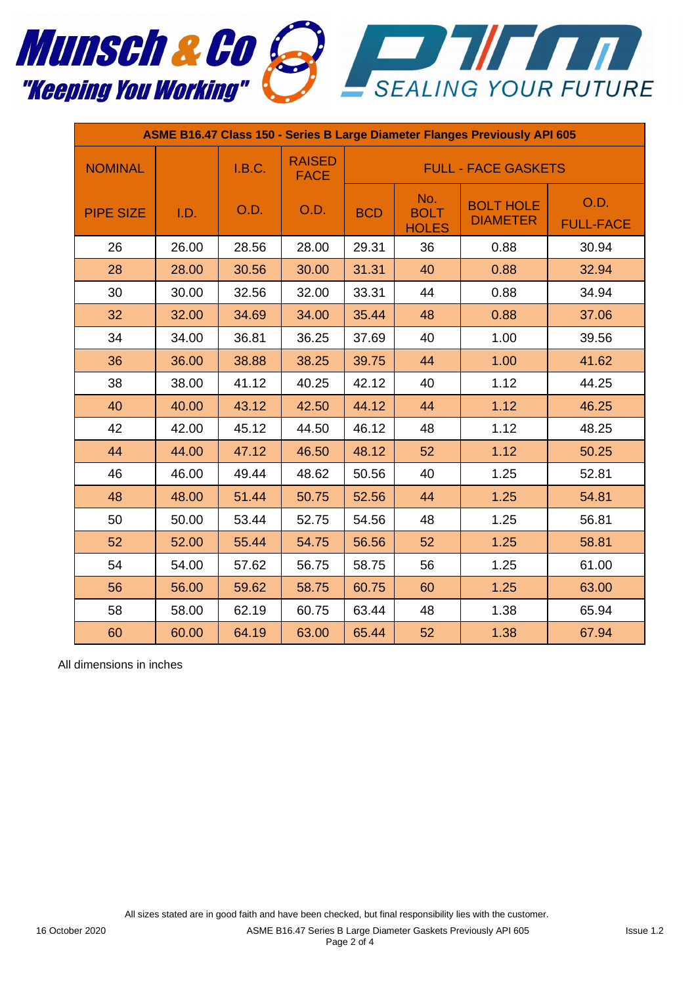

| ASME B16.47 Class 150 - Series B Large Diameter Flanges Previously API 605 |       |        |                              |                            |                                    |                                     |                          |  |
|----------------------------------------------------------------------------|-------|--------|------------------------------|----------------------------|------------------------------------|-------------------------------------|--------------------------|--|
| <b>NOMINAL</b>                                                             |       | I.B.C. | <b>RAISED</b><br><b>FACE</b> | <b>FULL - FACE GASKETS</b> |                                    |                                     |                          |  |
| <b>PIPE SIZE</b>                                                           | I.D.  | O.D.   | O.D.                         | <b>BCD</b>                 | No.<br><b>BOLT</b><br><b>HOLES</b> | <b>BOLT HOLE</b><br><b>DIAMETER</b> | O.D.<br><b>FULL-FACE</b> |  |
| 26                                                                         | 26.00 | 28.56  | 28.00                        | 29.31                      | 36                                 | 0.88                                | 30.94                    |  |
| 28                                                                         | 28.00 | 30.56  | 30.00                        | 31.31                      | 40                                 | 0.88                                | 32.94                    |  |
| 30                                                                         | 30.00 | 32.56  | 32.00                        | 33.31                      | 44                                 | 0.88                                | 34.94                    |  |
| 32                                                                         | 32.00 | 34.69  | 34.00                        | 35.44                      | 48                                 | 0.88                                | 37.06                    |  |
| 34                                                                         | 34.00 | 36.81  | 36.25                        | 37.69                      | 40                                 | 1.00                                | 39.56                    |  |
| 36                                                                         | 36.00 | 38.88  | 38.25                        | 39.75                      | 44                                 | 1.00                                | 41.62                    |  |
| 38                                                                         | 38.00 | 41.12  | 40.25                        | 42.12                      | 40                                 | 1.12                                | 44.25                    |  |
| 40                                                                         | 40.00 | 43.12  | 42.50                        | 44.12                      | 44                                 | 1.12                                | 46.25                    |  |
| 42                                                                         | 42.00 | 45.12  | 44.50                        | 46.12                      | 48                                 | 1.12                                | 48.25                    |  |
| 44                                                                         | 44.00 | 47.12  | 46.50                        | 48.12                      | 52                                 | 1.12                                | 50.25                    |  |
| 46                                                                         | 46.00 | 49.44  | 48.62                        | 50.56                      | 40                                 | 1.25                                | 52.81                    |  |
| 48                                                                         | 48.00 | 51.44  | 50.75                        | 52.56                      | 44                                 | 1.25                                | 54.81                    |  |
| 50                                                                         | 50.00 | 53.44  | 52.75                        | 54.56                      | 48                                 | 1.25                                | 56.81                    |  |
| 52                                                                         | 52.00 | 55.44  | 54.75                        | 56.56                      | 52                                 | 1.25                                | 58.81                    |  |
| 54                                                                         | 54.00 | 57.62  | 56.75                        | 58.75                      | 56                                 | 1.25                                | 61.00                    |  |
| 56                                                                         | 56.00 | 59.62  | 58.75                        | 60.75                      | 60                                 | 1.25                                | 63.00                    |  |
| 58                                                                         | 58.00 | 62.19  | 60.75                        | 63.44                      | 48                                 | 1.38                                | 65.94                    |  |
| 60                                                                         | 60.00 | 64.19  | 63.00                        | 65.44                      | 52                                 | 1.38                                | 67.94                    |  |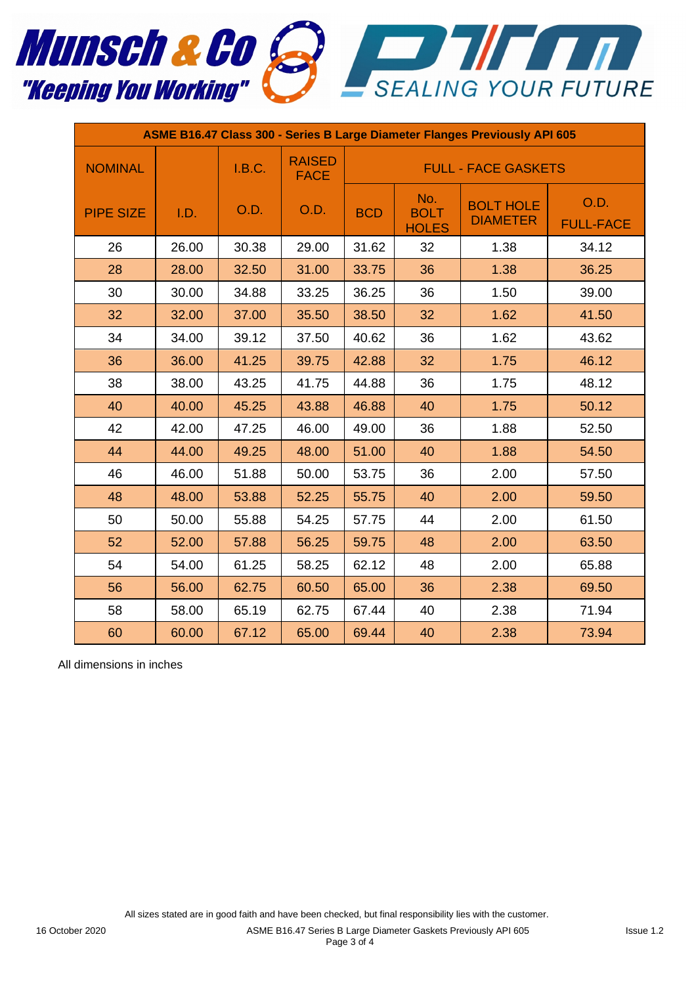

| ASME B16.47 Class 300 - Series B Large Diameter Flanges Previously API 605 |       |        |                              |                            |                                    |                                     |                          |  |
|----------------------------------------------------------------------------|-------|--------|------------------------------|----------------------------|------------------------------------|-------------------------------------|--------------------------|--|
| <b>NOMINAL</b>                                                             |       | I.B.C. | <b>RAISED</b><br><b>FACE</b> | <b>FULL - FACE GASKETS</b> |                                    |                                     |                          |  |
| <b>PIPE SIZE</b>                                                           | I.D.  | O.D.   | O.D.                         | <b>BCD</b>                 | No.<br><b>BOLT</b><br><b>HOLES</b> | <b>BOLT HOLE</b><br><b>DIAMETER</b> | O.D.<br><b>FULL-FACE</b> |  |
| 26                                                                         | 26.00 | 30.38  | 29.00                        | 31.62                      | 32                                 | 1.38                                | 34.12                    |  |
| 28                                                                         | 28.00 | 32.50  | 31.00                        | 33.75                      | 36                                 | 1.38                                | 36.25                    |  |
| 30                                                                         | 30.00 | 34.88  | 33.25                        | 36.25                      | 36                                 | 1.50                                | 39.00                    |  |
| 32                                                                         | 32.00 | 37.00  | 35.50                        | 38.50                      | 32                                 | 1.62                                | 41.50                    |  |
| 34                                                                         | 34.00 | 39.12  | 37.50                        | 40.62                      | 36                                 | 1.62                                | 43.62                    |  |
| 36                                                                         | 36.00 | 41.25  | 39.75                        | 42.88                      | 32                                 | 1.75                                | 46.12                    |  |
| 38                                                                         | 38.00 | 43.25  | 41.75                        | 44.88                      | 36                                 | 1.75                                | 48.12                    |  |
| 40                                                                         | 40.00 | 45.25  | 43.88                        | 46.88                      | 40                                 | 1.75                                | 50.12                    |  |
| 42                                                                         | 42.00 | 47.25  | 46.00                        | 49.00                      | 36                                 | 1.88                                | 52.50                    |  |
| 44                                                                         | 44.00 | 49.25  | 48.00                        | 51.00                      | 40                                 | 1.88                                | 54.50                    |  |
| 46                                                                         | 46.00 | 51.88  | 50.00                        | 53.75                      | 2.00<br>36                         |                                     | 57.50                    |  |
| 48                                                                         | 48.00 | 53.88  | 52.25                        | 55.75                      | 40                                 | 2.00                                | 59.50                    |  |
| 50                                                                         | 50.00 | 55.88  | 54.25                        | 57.75                      | 44                                 | 2.00                                | 61.50                    |  |
| 52                                                                         | 52.00 | 57.88  | 56.25                        | 59.75                      | 48                                 | 2.00                                | 63.50                    |  |
| 54                                                                         | 54.00 | 61.25  | 58.25                        | 62.12                      | 48                                 | 2.00                                | 65.88                    |  |
| 56                                                                         | 56.00 | 62.75  | 60.50                        | 65.00                      | 36                                 | 2.38                                | 69.50                    |  |
| 58                                                                         | 58.00 | 65.19  | 62.75                        | 67.44                      | 40                                 | 2.38                                | 71.94                    |  |
| 60                                                                         | 60.00 | 67.12  | 65.00                        | 69.44                      | 40                                 | 2.38                                | 73.94                    |  |